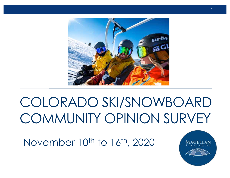

## COLORADO SKI/SNOWBOARD COMMUNITY OPINION SURVEY

November 10<sup>th</sup> to 16<sup>th</sup>, 2020

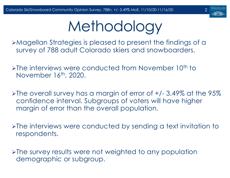

# **Methodology**

ØMagellan Strategies is pleased to present the findings of a survey of 788 adult Colorado skiers and snowboarders.

 $\triangleright$ The interviews were conducted from November 10<sup>th</sup> to November 16<sup>th</sup>, 2020.

 $\blacktriangleright$ The overall survey has a margin of error of +/- 3.49% at the 95% confidence interval. Subgroups of voters will have higher margin of error than the overall population.

ØThe interviews were conducted by sending a text invitation to respondents.

ØThe survey results were not weighted to any population demographic or subgroup.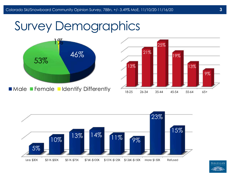





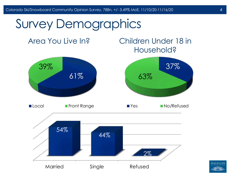#### Area You Live In?

#### Children Under 18 in Household?



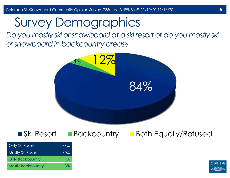*Do you mostly ski or snowboard at a ski resort or do you mostly ski or snowboard in backcountry areas?*



#### **Ski Resort Backcountry Both Equally/Refused**

| Only Ski Resort           | 44%   |
|---------------------------|-------|
| Mostly Ski Resort         | 40%   |
| <b>Only Backcountry</b>   | $1\%$ |
| <b>Mostly Backcountry</b> | 3%    |

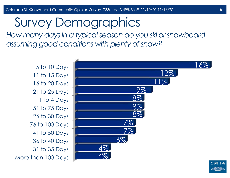*How many days in a typical season do you ski or snowboard assuming good conditions with plenty of snow?*

More than 100 Days 31 to 35 Days 36 to 40 Days 41 to 50 Days 76 to 100 Days 26 to 30 Days 51 to 75 Days 1 to 4 Days 21 to 25 Days 16 to 20 Days 11 to 15 Days 5 to 10 Days





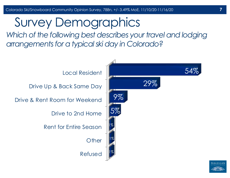Which of the following best describes your travel and lodging *arrangements for a typical ski day in Colorado?*



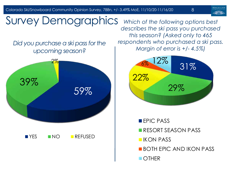Colorado Ski/Snowboard Community Opinion Survey, 788n, +/- 3.49% MoE, 11/10/20-11/16/20

8



# *Did you purchase a ski pass for the*  Survey Demographics

*upcoming season?*



*Which of the following options best describes the ski pass you purchased this season? (Asked only to 465 respondents who purchased a ski pass. Margin of error is +/- 4.5%)*



**EPIC PASS RESORT SEASON PASS IKON PASS BOTH FPIC AND IKON PASS** ■ OTHER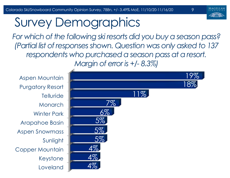MAGELL

9

## Survey Demographics

*For which of the following ski resorts did you buy a season pass? (Partial list of responses shown. Question was only asked to 137 respondents who purchased a season pass at a resort. Margin of error is +/- 8.3%)*

Loveland Keystone Copper Mountain Sunlight Aspen Snowmass Arapahoe Basin Winter Park Monarch **Telluride** Purgatory Resort Aspen Mountain

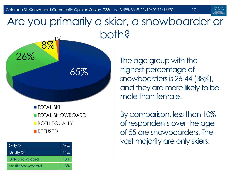65%

#### Are you primarily a skier, a snowboarder or both? 1%

**TOTAL SKI** TOTAL SNOWBOARD **BOTH EQUALLY** REFUSED

| Only Ski                | 54% |
|-------------------------|-----|
| <b>Mostly Ski</b>       | 11% |
| <b>Only Snowboard</b>   | 18% |
| <b>Mostly Snowboard</b> | 8%  |

26%

8%

The age group with the highest percentage of snowboarders is 26-44 (38%), and they are more likely to be male than female.

10

By comparison, less than 10% of respondents over the age of 55 are snowboarders. The vast majority are only skiers.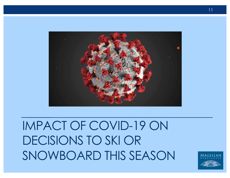## IMPACT OF COVID-19 ON DECISIONS TO SKI OR SNOWBOARD THIS SEASON

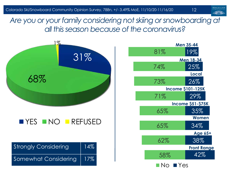*Are you or your family considering not skiing or snowboarding at all this season because of the coronavirus?*



12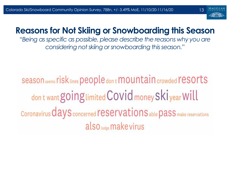

#### **Reasons for Not Skiing or Snowboarding this Season**

"*Being as specific as possible, please describe the reasons why you are considering not skiing or snowboarding this season.*"

Season seems risk Lines people don t mountain crowded resorts don t want going limited Covid money Skiyear Will Coronavirus *days* concerned reservations able pass make reservations also todge make virus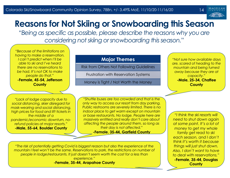

#### **Reasons for Not Skiing or Snowboarding this Season**

"*Being as specific as possible, please describe the reasons why you are considering not skiing or snowboarding this season.*"

*"Because of the limitations on having to make a reservation. I can't predict when I'll be able to ski and I've heard there are no reservations to be had. It's not OK to make people do that."*  **-Female, 45-54, Jefferson County**

#### **Major Themes**

Risk from Others Not Following Guidelines

Frustration with Reservation Systems

Money is Tight / Not Worth the Money

*"Not sure how available days are, scared of heading to the mountain and being turned away because they are at capacity."*  **-Male, 25-34, Chaffee County**

*"Lack of lodge capacity due to social distancing, skier disregard for mask-wearing and social distancing, high prices for food and lift tickets in the middle of a pandemic/economic downturn, norefund policies at major resorts."*  **-Male, 55-64, Boulder County**

*"Shuttle buses are too crowded and that is the only way to access our resort from day parking. Public restrooms are severely limited. There is no indoor place to get warm except on mountain or base restaurants. No lodge. People here are massively entitled and really don't care about affecting the people around them, so long as their day is not affected."* 

**-Female, 35-44, Garfield County**

*"The risk of potentially getting Covid is biggest reason but also the experience of the mountain I feel won't be the same. Reservations to park, the restrictions on number of people in lodge/restaurants. It just doesn't seem worth the cost for a less than experience."* 

**-Female, 35-44, Arapahoe County**

*"I think the ski resorts will need to shut down again at some point. It's a lot of money to get my whole family get read to ski each season, and I don't think it's worth it because things will just shut down. Also, I don't want to have to deal with reservations."*  **-Female, 35-44, Douglas** 

**County**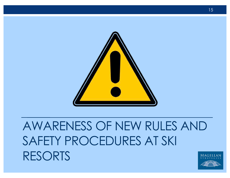

## AWARENESS OF NEW RULES AND SAFETY PROCEDURES AT SKI RESORTS

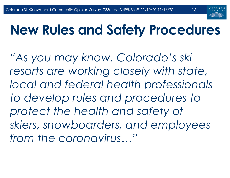

16

## **New Rules and Safety Procedures**

*"As you may know, Colorado's ski resorts are working closely with state, local and federal health professionals to develop rules and procedures to protect the health and safety of skiers, snowboarders, and employees from the coronavirus…"*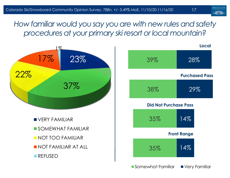*How familiar would you say you are with new rules and safety procedures at your primary ski resort or local mountain?* 

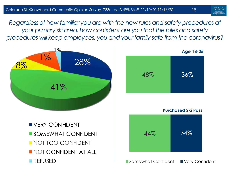*Regardless of how familiar you are with the new rules and safety procedures at your primary ski area, how confident are you that the rules and safety procedures will keep employees, you and your family safe from the coronavirus?* 





**Purchased Ski Pass**

**UVERY CONFIDENT** SOMEWHAT CONFIDENT **NOT TOO CONFIDENT** NOT CONFIDENT AT ALL REFUSED



■ Somewhat Confident ■ Very Confident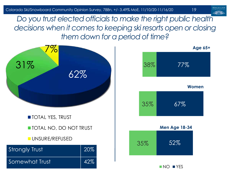*Do you trust elected officials to make the right public health decisions when it comes to keeping ski resorts open or closing them down for a period of time?*

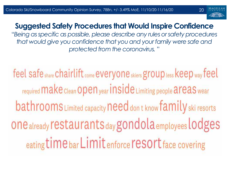

#### **Suggested Safety Procedures that Would Inspire Confidence**

"*Being as specific as possible, please describe any rules or safety procedures that would give you confidence that you and your family were safe and protected from the coronavirus.* "

feel safe share chairlift come everyone skiers group less keep way feel required Make Clean Open year inside Limiting people areas wear bathrooms Limited capacity need don t know family ski resorts one already restaurants day gondola employees lodges eating time bar Limit enforce resort face covering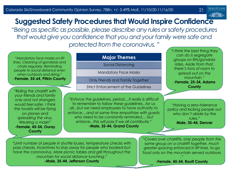

#### **Suggested Safety Procedures that Would Inspire Confidence**

"*Being as specific as possible, please describe any rules or safety procedures that would give you confidence that you and your family were safe and protected from the coronavirus.* "

*"Mandatory face masks on lift lines. Cleaning of gondolas and chairs regularly. Reminding people to social distance even when outdoors and skiing."*  **-Female, 55-64, Pitkin County**

*"Riding the chairlift with your friends and family only and not strangers would feel safer. I think the tourists will be flying on planes and spreading the virus. Wearing a mask!"*  **-Female, 45-54, Ouray County**

#### **Major Themes**

Social Distancing

Mandatory Face Masks

Only Friends and Family Together

Strict Enforcement of the Guidelines

*"Enforce the guidelines, period....it really is difficult to remember to follow these guidelines...for us all...but we need employees to have authority to enforce....and at same time empathize with guests who need to be constantly reminded.... but enforce...this will pass if we all contribute."*  **-Male, 35-44, Grand County**

*"I think the best thing they can do is segregate groups on lifts/gondola rides. Aside from that, there's tons of room to spread out on the mountain."* **-Female, 25-34, Adams County**

*"Having a zero-tolerance policy and kicking people out who don't abide by the rules."*  **Male, 35-44, Denver**

*"Limit number of people in shuttle buses, temperature checks with pass checks. Incentives to stay away for people who booked but have the coronavirus. More picnic tables and grill throughout the mountain for social distance lunching."* **-Male, 35-44, Jefferson County**

*"Covers over chairlifts, only people from the same group on a chairlift together, much greater spacing enforced in lift lines, to-go food only on the mountain served outdoors*

> *."* **-Female, 45-54, Routt County**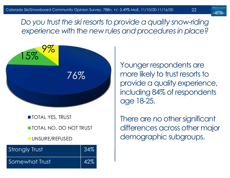22

Do you trust the ski resorts to provide a quality snow-riding *experience with the new rules and procedures in place?*



**TOTAL YES, TRUST** 

**TOTAL NO, DO NOT TRUST** 

**UNSURE/REFUSED** 

| <b>Strongly Trust</b> | 34%         |
|-----------------------|-------------|
| Somewhat Trust        | $\vert$ 42% |

Younger respondents are more likely to trust resorts to provide a quality experience, including 84% of respondents age 18-25.

There are no other significant differences across other major demographic subgroups.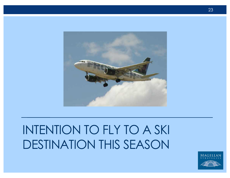## INTENTION TO FLY TO A SKI DESTINATION THIS SEASON

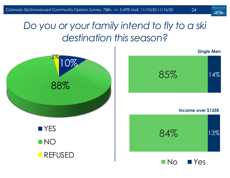#### *Do you or your family intend to fly to a ski destination this season?*



No PYes



13%

14%

**Single Men**

24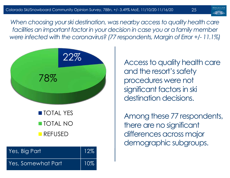25

*When choosing your ski destination, was nearby access to quality health care facilities an important factor in your decision in case you or a family member were infected with the coronavirus? (77 respondents, Margin of Error +/- 11.1%)*



TOTAL YES TOTAL NO **REFUSED** 

| Yes, Big Part      | $\sqrt{12\%}$ |
|--------------------|---------------|
| Yes, Somewhat Part | 10%           |

Access to quality health care and the resort's safety procedures were not significant factors in ski destination decisions.

Among these 77 respondents, there are no significant differences across major demographic subgroups.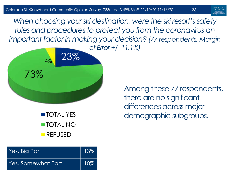*When choosing your ski destination, were the ski resort's safety*  rules and procedures to protect you from the coronavirus an *important factor in making your decision? (77 respondents, Margin* 



**TOTAL YES** TOTAL NO **REFUSED** 

| Yes, Big Part      | $\parallel$ 13% |
|--------------------|-----------------|
| Yes, Somewhat Part | $\vert$ 10%     |

Among these 77 respondents, there are no significant differences across major demographic subgroups.

26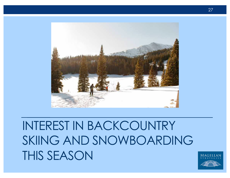

## INTEREST IN BACKCOUNTRY SKIING AND SNOWBOARDING THIS SEASON

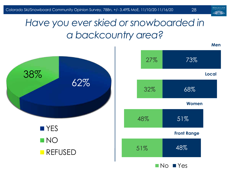

28

#### *Have you ever skied or snowboarded in a backcountry area?*

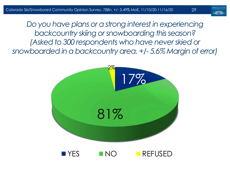29

*Do you have plans or a strong interest in experiencing backcountry skiing or snowboarding this season? (Asked to 300 respondents who have never skied or snowboarded in a backcountry area. +/- 5.6% Margin of error)*

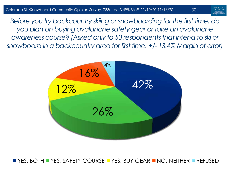

*Before you try backcountry skiing or snowboarding for the first time, do you plan on buying avalanche safety gear or take an avalanche awareness course? (Asked only to 50 respondents that intend to ski or snowboard in a backcountry area for first time. +/- 13.4% Margin of error)*



YES, BOTH YES, SAFETY COURSE YES, BUY GEAR NO, NEITHER REFUSED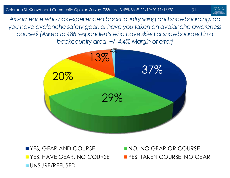*As someone who has experienced backcountry skiing and snowboarding, do you have avalanche safety gear, or have you taken an avalanche awareness course? (Asked to 486 respondents who have skied or snowboarded in a backcountry area. +/- 4.4% Margin of error)*



■ YES, GEAR AND COURSE NO NO, NO GEAR OR COURSE UNSURE/REFUSED

**T** YES, HAVE GEAR, NO COURSE **THE YES, TAKEN COURSE, NO GEAR**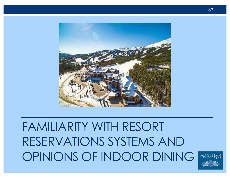

## FAMILIARITY WITH RESORT RESERVATIONS SYSTEMS AND OPINIONS OF INDOOR DINING

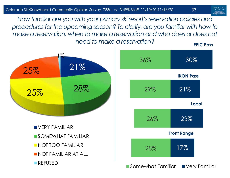*How familiar are you with your primary ski resort's reservation policies and procedures for the upcoming season? To clarify, are you familiar with how to*  make a reservation, when to make a reservation and who does or does not *need to make a reservation?* **EPIC Pass**

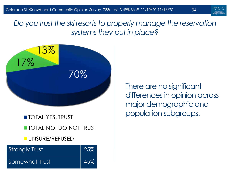*Do you trust the ski resorts to properly manage the reservation systems they put in place?*



**TOTAL YES, TRUST TOTAL NO, DO NOT TRUST UNSURE/REFUSED** 

| Strongly Trust | $\parallel$ 25% |
|----------------|-----------------|
| Somewhat Trust | $\vert$ 45%     |

There are no significant differences in opinion across major demographic and population subgroups.

34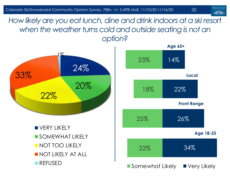How likely are you eat lunch, dine and drink indoors at a ski resort when the weather turns cold and outside seating is not an *option?*





35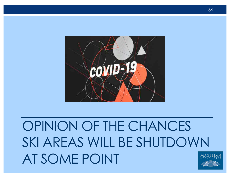## OPINION OF THE CHANCES SKI AREAS WILL BE SHUTDOWN AT SOME POINT

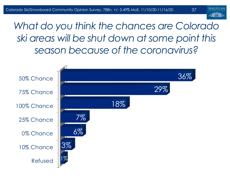

37

*What do you think the chances are Colorado ski areas will be shut down at some point this season because of the coronavirus?* 

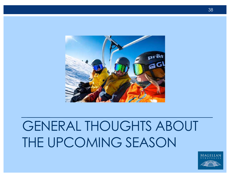

## GENERAL THOUGHTS ABOUT THE UPCOMING SEASON

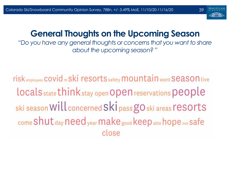

#### **General Thoughts on the Upcoming Season**

"*Do you have any general thoughts or concerns that you want to share about the upcoming season?* "

risk employees COVId m Ski resorts safety mountain want Season live locals state think stay open Open reservations people ski season Will concerned Ski pass gO ski areas resorts come Shut day need year make good keep able hope one safe close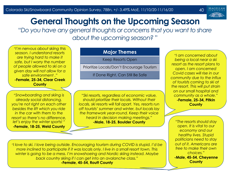

#### **General Thoughts on the Upcoming Season**

"*Do you have any general thoughts or concerns that you want to share about the upcoming season?* "

*"I'm nervous about skiing this season. I understand resorts are trying hard to make it safe, but I worry the number of people allowed to ski on a given day will not allow for a safe environment ."* **-Female, 25-34, Clear Creek County**

"*Snowboarding and skiing is already social distancing, you're not right on each other besides the lift which you ride in the car with them to the resort so there's no difference, let's enjoy the winter sports!* " **-Female, 18-25, Weld County**

#### **Major Themes**

Keep Resorts Open

Prioritize Locals/Don't Encourage Tourism

If Done Right, Can Still Be Safe

*"Ski resorts, regardless of economic value, should prioritize their locals. Without their locals, ski resorts will fall apart. Yes, resorts run off tourists' summer and winter, but locals lay the framework year-round. Keep their voice heard in decision making meetings."* **-Male, 18-25, Boulder County**

*"I am concerned about being a local near a ski resort as the resort plans to open. I am concerned Covid cases will rise in our community due to the influx of tourists coming to ski at the resort. This will put strain on our small hospital and community as a whole."* **-Female, 25-34, Pitkin County**

*"The resorts should stay open. It is vital to our economy and our healthy lives. Stupid politicians need to stay out of it. Americans are free to make their own choices."* **-Male, 45-54, Cheyenne County**

*"I love to ski. I love being outside. Encouraging tourism during COVID is stupid. I'd be more inclined to participate if it was locals only. I live in a small resort town. This winter is going to be a mess. I'm snowshoeing and Nordic skiing instead. Maybe back country skiing if I can get into an avalanche class."*  **-Female, 45-54, Routt County**